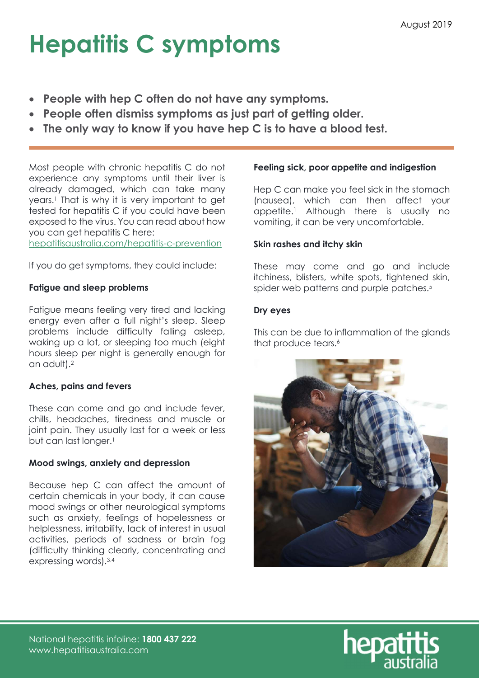## Hepatitis C symptoms

- People with hep C often do not have any symptoms.
- People often dismiss symptoms as just part of getting older.
- The only way to know if you have hep C is to have a blood test.

Most people with chronic hepatitis C do not experience any symptoms until their liver is already damaged, which can take many years.<sup>1</sup> That is why it is very important to get tested for hepatitis C if you could have been exposed to the virus. You can read about how you can get hepatitis C here:

hepatitisaustralia.com/hepatitis-c-prevention

If you do get symptoms, they could include:

## Fatigue and sleep problems

Fatigue means feeling very tired and lacking energy even after a full night's sleep. Sleep problems include difficulty falling asleep, waking up a lot, or sleeping too much (eight hours sleep per night is generally enough for an adult).<sup>2</sup>

## Aches, pains and fevers

These can come and go and include fever, chills, headaches, tiredness and muscle or joint pain. They usually last for a week or less but can last longer.<sup>1</sup>

## Mood swings, anxiety and depression

Because hep C can affect the amount of certain chemicals in your body, it can cause mood swings or other neurological symptoms such as anxiety, feelings of hopelessness or helplessness, irritability, lack of interest in usual activities, periods of sadness or brain fog (difficulty thinking clearly, concentrating and expressing words).3,4

## Feeling sick, poor appetite and indigestion

Hep C can make you feel sick in the stomach (nausea), which can then affect your appetite.<sup>1</sup> Although there is usually no vomiting, it can be very uncomfortable.

## Skin rashes and itchy skin

These may come and go and include itchiness, blisters, white spots, tightened skin, spider web patterns and purple patches.<sup>5</sup>

## Dry eyes

This can be due to inflammation of the glands that produce tears.<sup>6</sup>